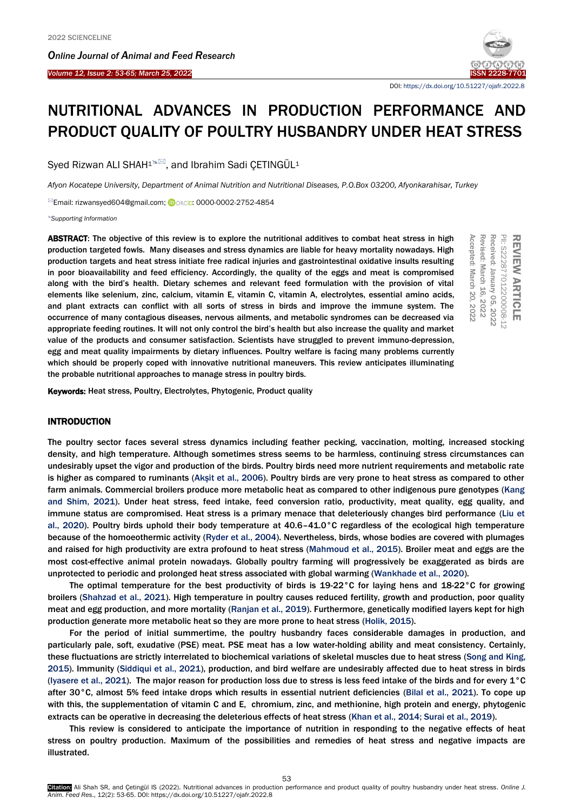

DOI[: https://dx.doi.org/10.51227/ojafr.2022.8](https://dx.doi.org/10.51227/ojafr.2022.8)

# NUTRITIONAL ADVANCES IN PRODUCTION PERFORMANCE AND PRODUCT QUALITY OF POULTRY HUSBANDRY UNDER HEAT STRESS

Sved Rizwan ALI SHAH<sup>1%</sup>, and Ibrahim Sadi ÇETINGÜL<sup>1</sup>

*Afyon Kocatepe University, Department of Animal Nutrition and Nutritional Diseases, P.O.Box 03200, Afyonkarahisar, Turkey*

<sup>⊠</sup>Email: rizwansyed604@gmail.com; iDORCiD: 0000-0002-2752-4854

*[Supporting Information](#page-8-0)*

ABSTRACT: The objective of this review is to explore the nutritional additives to combat heat stress in high production targeted fowls. Many diseases and stress dynamics are liable for heavy mortality nowadays. High production targets and heat stress initiate free radical injuries and gastrointestinal oxidative insults resulting in poor bioavailability and feed efficiency. Accordingly, the quality of the eggs and meat is compromised along with the bird's health. Dietary schemes and relevant feed formulation with the provision of vital elements like selenium, zinc, calcium, vitamin E, vitamin C, vitamin A, electrolytes, essential amino acids, and plant extracts can conflict with all sorts of stress in birds and improve the immune system. The occurrence of many contagious diseases, nervous ailments, and metabolic syndromes can be decreased via appropriate feeding routines. It will not only control the bird's health but also increase the quality and market value of the products and consumer satisfaction. Scientists have struggled to prevent immuno-depression, egg and meat quality impairments by dietary influences. Poultry welfare is facing many problems currently which should be properly coped with innovative nutritional maneuvers. This review anticipates illuminating the probable nutritional approaches to manage stress in poultry birds. **ABSTRACT:** The objective of this review is to explore the nutritional additives to combat heat stress in high<br>production targeted fowls. Many diseases and stress invarias are liable for heavy mordality nowadays. High<br>ni p

## INTRODUCTION

The poultry sector faces several stress dynamics including feather pecking, vaccination, molting, increased stocking density, and high temperature. Although sometimes stress seems to be harmless, continuing stress circumstances can undesirably upset the vigor and production of the birds. Poultry birds need more nutrient requirements and metabolic rate is higher as compared to ruminants ([Akşit et al., 2006](#page-9-0)). Poultry birds are very prone to heat stress as compared to other farm animals. Commercial broilers produce more metabolic heat as compared to other indigenous pure genotypes (Kang [and Shim, 2021\).](#page-9-0) Under heat stress, feed intake, feed conversion ratio, productivity, meat quality, egg quality, and immune status are compromised. Heat stress is a primary menace that deleteriously changes bird performance [\(Liu et](#page-9-0)  [al., 2020\).](#page-9-0) Poultry birds uphold their body temperature at 40.6–41.0°C regardless of the ecological high temperature because of the homoeothermic activity [\(Ryder et al., 2004\)](#page-9-0). Nevertheless, birds, whose bodies are covered with plumages and raised for high productivity are extra profound to heat stress [\(Mahmoud et al., 2015\).](#page-9-0) Broiler meat and eggs are the most cost-effective animal protein nowadays. Globally poultry farming will progressively be exaggerated as birds are unprotected to periodic and prolonged heat stress associated with global warming [\(Wankhade et al., 2020\).](#page-9-0) 

The optimal temperature for the best productivity of birds is 19-22°C for laying hens and 18-22°C for growing broilers [\(Shahzad et al., 2021\).](#page-9-0) High temperature in poultry causes reduced fertility, growth and production, poor quality meat and egg production, and more mortality ([Ranjan et al., 2019\)](#page-9-0). Furthermore, genetically modified layers kept for high production generate more metabolic heat so they are more prone to heat stress [\(Holik, 2015\).](#page-9-0)

For the period of initial summertime, the poultry husbandry faces considerable damages in production, and particularly pale, soft, exudative (PSE) meat. PSE meat has a low water-holding ability and meat consistency. Certainly, these fluctuations are strictly interrelated to biochemical variations of skeletal muscles due to heat stres[s \(Song and King,](#page-9-0)  2015). Immunity [\(Siddiqui et al., 2021\),](#page-9-0) production, and bird welfare are undesirably affected due to heat stress in birds (I[yasere et al., 2021\)](#page-9-0). The major reason for production loss due to stress is less feed intake of the birds and for every  $1^{\circ}$ C after 30°C, almost 5% feed intake drops which results in essential nutrient deficiencies [\(Bilal et al., 2021\).](#page-9-0) To cope up with this, the supplementation of vitamin C and E, chromium, zinc, and methionine, high protein and energy, phytogenic extracts can be operative in decreasing the deleterious effects of heat stress [\(Khan et al., 2014; Surai et al., 2019\).](#page-9-0) 

This review is considered to anticipate the importance of nutrition in responding to the negative effects of heat stress on poultry production. Maximum of the possibilities and remedies of heat stress and negative impacts are illustrated.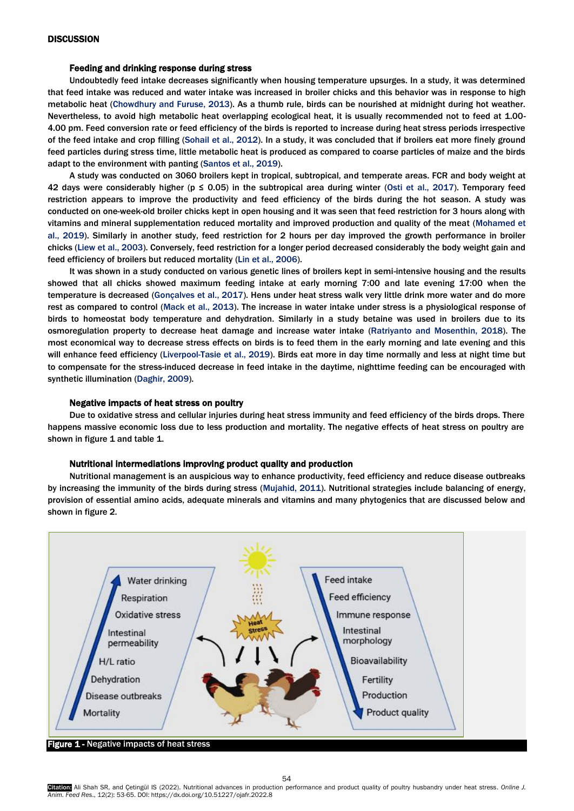## Feeding and drinking response during stress

Undoubtedly feed intake decreases significantly when housing temperature upsurges. In a study, it was determined that feed intake was reduced and water intake was increased in broiler chicks and this behavior was in response to high metabolic heat [\(Chowdhury and Furuse, 2013\).](#page-9-0) As a thumb rule, birds can be nourished at midnight during hot weather. Nevertheless, to avoid high metabolic heat overlapping ecological heat, it is usually recommended not to feed at 1.00- 4.00 pm. Feed conversion rate or feed efficiency of the birds is reported to increase during heat stress periods irrespective of the feed intake and crop filling [\(Sohail et al., 2012\)](#page-9-0). In a study, it was concluded that if broilers eat more finely ground feed particles during stress time, little metabolic heat is produced as compared to coarse particles of maize and the birds adapt to the environment with panting [\(Santos et al., 2019](#page-9-0)).

A study was conducted on 3060 broilers kept in tropical, subtropical, and temperate areas. FCR and body weight at 42 days were considerably higher ( $p \le 0.05$ ) in the subtropical area during winter [\(Osti et al., 2017\).](#page-9-0) Temporary feed restriction appears to improve the productivity and feed efficiency of the birds during the hot season. A study was conducted on one-week-old broiler chicks kept in open housing and it was seen that feed restriction for 3 hours along with vitamins and mineral supplementation reduced mortality and improved production and quality of the meat [\(Mohamed et](#page-9-0)  [al., 2019\).](#page-9-0) Similarly in another study, feed restriction for 2 hours per day improved the growth performance in broiler chicks [\(Liew et al., 2003\).](#page-9-0) Conversely, feed restriction for a longer period decreased considerably the body weight gain and feed efficiency of broilers but reduced mortality [\(Lin et al., 2006\).](#page-9-0) 

It was shown in a study conducted on various genetic lines of broilers kept in semi-intensive housing and the results showed that all chicks showed maximum feeding intake at early morning 7:00 and late evening 17:00 when the temperature is decreased [\(Gonçalves et al., 2017\).](#page-9-0) Hens under heat stress walk very little drink more water and do more rest as compared to control [\(Mack et al., 2013\).](#page-9-0) The increase in water intake under stress is a physiological response of birds to homeostat body temperature and dehydration. Similarly in a study betaine was used in broilers due to its osmoregulation property to decrease heat damage and increase water intake [\(Ratriyanto and Mosenthin, 2018\).](#page-9-0) The most economical way to decrease stress effects on birds is to feed them in the early morning and late evening and this will enhance feed efficiency [\(Liverpool-Tasie et al., 2019\).](#page-9-0) Birds eat more in day time normally and less at night time but to compensate for the stress-induced decrease in feed intake in the daytime, nighttime feeding can be encouraged with synthetic illumination [\(Daghir, 2009\).](#page-9-0) 

## Negative impacts of heat stress on poultry

Due to oxidative stress and cellular injuries during heat stress immunity and feed efficiency of the birds drops. There happens massive economic loss due to less production and mortality. The negative effects of heat stress on poultry are shown in figure 1 and table 1.

## Nutritional intermediations improving product quality and production

Nutritional management is an auspicious way to enhance productivity, feed efficiency and reduce disease outbreaks by increasing the immunity of the birds during stres[s \(Mujahid, 2011\). N](#page-9-0)utritional strategies include balancing of energy, provision of essential amino acids, adequate minerals and vitamins and many phytogenics that are discussed below and shown in figure 2.



**Figure 1 - Negative impacts of heat stress**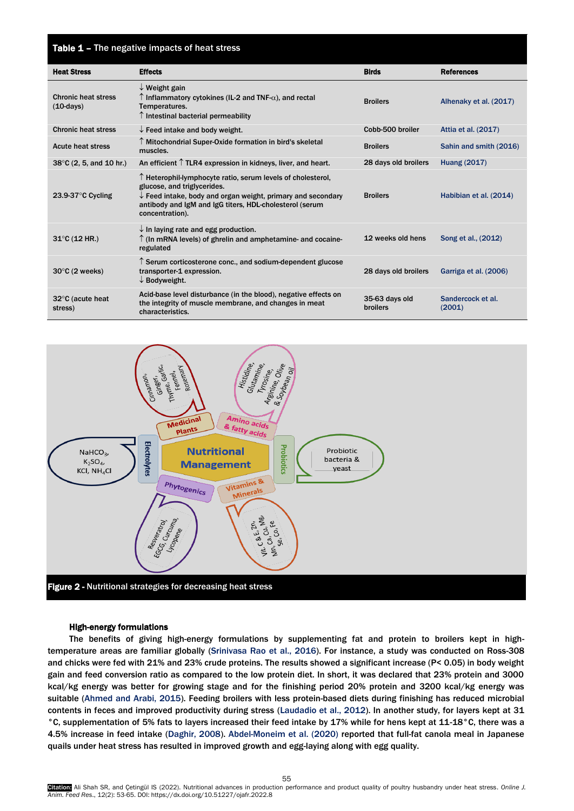# Table 1 - The negative impacts of heat stress

| <b>Heat Stress</b>                        | <b>Effects</b>                                                                                                                                                                                                                                              | <b>Birds</b>                      | <b>References</b>           |
|-------------------------------------------|-------------------------------------------------------------------------------------------------------------------------------------------------------------------------------------------------------------------------------------------------------------|-----------------------------------|-----------------------------|
| <b>Chronic heat stress</b><br>$(10-days)$ | $\downarrow$ Weight gain<br>$\uparrow$ Inflammatory cytokines (IL-2 and TNF- $\alpha$ ), and rectal<br>Temperatures.<br>$\uparrow$ Intestinal bacterial permeability                                                                                        | <b>Broilers</b>                   | Alhenaky et al. (2017)      |
| <b>Chronic heat stress</b>                | $\downarrow$ Feed intake and body weight.                                                                                                                                                                                                                   | Cobb-500 broiler                  | Attia et al. (2017)         |
| <b>Acute heat stress</b>                  | ↑ Mitochondrial Super-Oxide formation in bird's skeletal<br>muscles.                                                                                                                                                                                        | <b>Broilers</b>                   | Sahin and smith (2016)      |
| $38^{\circ}$ C (2, 5, and 10 hr.)         | An efficient $\uparrow$ TLR4 expression in kidneys, liver, and heart.                                                                                                                                                                                       | 28 days old broilers              | <b>Huang (2017)</b>         |
| 23.9-37 $\degree$ C Cycling               | $\uparrow$ Heterophil-lymphocyte ratio, serum levels of cholesterol,<br>glucose, and triglycerides.<br>$\downarrow$ Feed intake, body and organ weight, primary and secondary<br>antibody and IgM and IgG titers, HDL-cholesterol (serum<br>concentration). | <b>Broilers</b>                   | Habibian et al. (2014)      |
| $31^{\circ}$ C (12 HR.)                   | $\downarrow$ In laying rate and egg production.<br>$\uparrow$ (In mRNA levels) of ghrelin and amphetamine- and cocaine-<br>regulated                                                                                                                        | 12 weeks old hens                 | Song et al., (2012)         |
| $30^{\circ}$ C (2 weeks)                  | $\uparrow$ Serum corticosterone conc., and sodium-dependent glucose<br>transporter-1 expression.<br>$\downarrow$ Bodyweight.                                                                                                                                | 28 days old broilers              | Garriga et al. (2006)       |
| $32^{\circ}$ C (acute heat<br>stress)     | Acid-base level disturbance (in the blood), negative effects on<br>the integrity of muscle membrane, and changes in meat<br>characteristics.                                                                                                                | 35-63 days old<br><b>broilers</b> | Sandercock et al.<br>(2001) |



## High-energy formulations

The benefits of giving high-energy formulations by supplementing fat and protein to broilers kept in hightemperature areas are familiar globally [\(Srinivasa Rao et al., 2016\)](#page-9-0). For instance, a study was conducted on Ross-308 and chicks were fed with 21% and 23% crude proteins. The results showed a significant increase (P< 0.05) in body weight gain and feed conversion ratio as compared to the low protein diet. In short, it was declared that 23% protein and 3000 kcal/kg energy was better for growing stage and for the finishing period 20% protein and 3200 kcal/kg energy was suitable [\(Ahmed and Arabi, 2015\).](#page-9-0) Feeding broilers with less protein-based diets during finishing has reduced microbial contents in feces and improved productivity during stress (L[audadio et al., 201](#page-9-0)2). In another study, for layers kept at 31 °C, supplementation of 5% fats to layers increased their feed intake by 17% while for hens kept at 11-18°C, there was a 4.5% increase in feed intake (Daghir, 2008). [Abdel-Moneim et al. \(2020\)](#page-9-0) reported that full-fat canola meal in Japanese quails under heat stress has resulted in improved growth and egg-laying along with egg quality.

55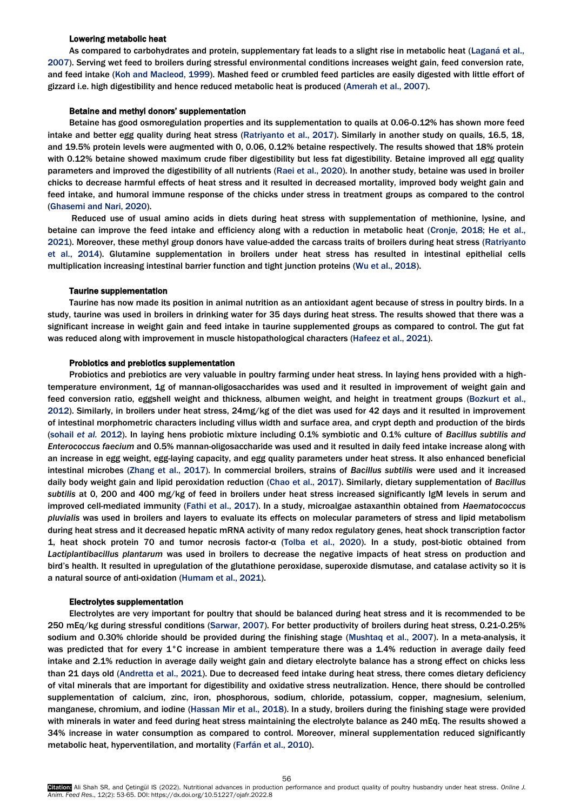## Lowering metabolic heat

As compared to carbohydrates and protein, supplementary fat leads to a slight rise in metabolic he[at \(Laganá et al.,](#page-9-0)  2007). Serving wet feed to broilers during stressful environmental conditions increases weight gain, feed conversion rate, and feed intake [\(Koh and Macleod, 1999\).](#page-9-0) Mashed feed or crumbled feed particles are easily digested with little effort of gizzard i.e. high digestibility and hence reduced metabolic heat is produced ([Amerah et al., 2007\)](#page-9-0).

## Betaine and methyl donors' supplementation

Betaine has good osmoregulation properties and its supplementation to quails at 0.06-0.12% has shown more feed intake and better egg quality during heat stress [\(Ratriyanto et al., 2017\).](#page-9-0) Similarly in another study on quails, 16.5, 18, and 19.5% protein levels were augmented with 0, 0.06, 0.12% betaine respectively. The results showed that 18% protein with 0.12% betaine showed maximum crude fiber digestibility but less fat digestibility. Betaine improved all egg quality parameters and improved the digestibility of all nutrients [\(Raei et al., 2020\).](#page-9-0) In another study, betaine was used in broiler chicks to decrease harmful effects of heat stress and it resulted in decreased mortality, improved body weight gain and feed intake, and humoral immune response of the chicks under stress in treatment groups as compared to the control [\(Ghasemi and Nari, 2020\).](#page-9-0)

Reduced use of usual amino acids in diets during heat stress with supplementation of methionine, lysine, and betaine can improve the feed intake and efficiency along with a reduction in metabolic heat (Cronje, 2018; He et al., 2021). Moreover, these methyl group donors have value-added the carcass traits of broilers during heat stress (Ratriyanto [et al., 2014\). G](#page-9-0)lutamine supplementation in broilers under heat stress has resulted in intestinal epithelial cells multiplication increasing intestinal barrier function and tight junction proteins [\(Wu et al., 2018\).](#page-9-0) 

### Taurine supplementation

Taurine has now made its position in animal nutrition as an antioxidant agent because of stress in poultry birds. In a study, taurine was used in broilers in drinking water for 35 days during heat stress. The results showed that there was a significant increase in weight gain and feed intake in taurine supplemented groups as compared to control. The gut fat was reduced along with improvement in muscle histopathological characters ([Hafeez et al., 2021\)](#page-9-0).

## Probiotics and prebiotics supplementation

Probiotics and prebiotics are very valuable in poultry farming under heat stress. In laying hens provided with a hightemperature environment, 1g of mannan-oligosaccharides was used and it resulted in improvement of weight gain and feed conversion ratio, eggshell weight and thickness, albumen weight, and height in treatment group[s \(Bozkurt et al.,](#page-9-0)  2012). Similarly, in broilers under heat stress, 24mg/kg of the diet was used for 42 days and it resulted in improvement of intestinal morphometric characters including villus width and surface area, and crypt depth and production of the birds [\(sohail](#page-9-0) *et al.* 2012). In laying hens probiotic mixture including 0.1% symbiotic and 0.1% culture of *Bacillus subtilis and Enterococcus faecium* and 0.5% mannan-oligosaccharide was used and it resulted in daily feed intake increase along with an increase in egg weight, egg-laying capacity, and egg quality parameters under heat stress. It also enhanced beneficial intestinal microbes ([Zhang et al., 2017\)](#page-9-0). In commercial broilers, strains of *Bacillus subtilis* were used and it increased daily body weight gain and lipid peroxidation reduction [\(Chao et al., 2017\).](#page-9-0) Similarly, dietary supplementation of *Bacillus subtilis* at 0, 200 and 400 mg/kg of feed in broilers under heat stress increased significantly IgM levels in serum and improved cell-mediated immunity [\(Fathi et al., 2017\)](#page-9-0). In a study, microalgae astaxanthin obtained from *Haematococcus pluvialis* was used in broilers and layers to evaluate its effects on molecular parameters of stress and lipid metabolism during heat stress and it decreased hepatic mRNA activity of many redox regulatory genes, heat shock transcription factor 1, heat shock protein 70 and tumor necrosis factor-α ([Tolba et al., 2020](#page-9-0)). In a study, post-biotic obtained from *Lactiplantibacillus plantarum* was used in broilers to decrease the negative impacts of heat stress on production and bird's health. It resulted in upregulation of the glutathione peroxidase, superoxide dismutase, and catalase activity so it is a natural source of anti-oxidation ([Humam et al., 2021](#page-9-0)).

#### Electrolytes supplementation

Electrolytes are very important for poultry that should be balanced during heat stress and it is recommended to be 250 mEq/kg during stressful condition[s \(Sarwar,](#page-9-0) 2007). For better productivity of broilers during heat stress, 0.21-0.25% sodium and 0.30% chloride should be provided during the finishing stage [\(Mushtaq et al., 2007\).](#page-9-0) In a meta-analysis, it was predicted that for every 1°C increase in ambient temperature there was a 1.4% reduction in average daily feed intake and 2.1% reduction in average daily weight gain and dietary electrolyte balance has a strong effect on chicks less than 21 days old [\(Andretta et al., 2021\).](#page-9-0) Due to decreased feed intake during heat stress, there comes dietary deficiency of vital minerals that are important for digestibility and oxidative stress neutralization. Hence, there should be controlled supplementation of calcium, zinc, iron, phosphorous, sodium, chloride, potassium, copper, magnesium, selenium, manganese, chromium, and iodine [\(Hassan Mir et al., 2018\).](#page-9-0) In a study, broilers during the finishing stage were provided with minerals in water and feed during heat stress maintaining the electrolyte balance as 240 mEq. The results showed a 34% increase in water consumption as compared to control. Moreover, mineral supplementation reduced significantly metabolic heat, hyperventilation, and mortality [\(Farfán et al., 2010\)](#page-9-0).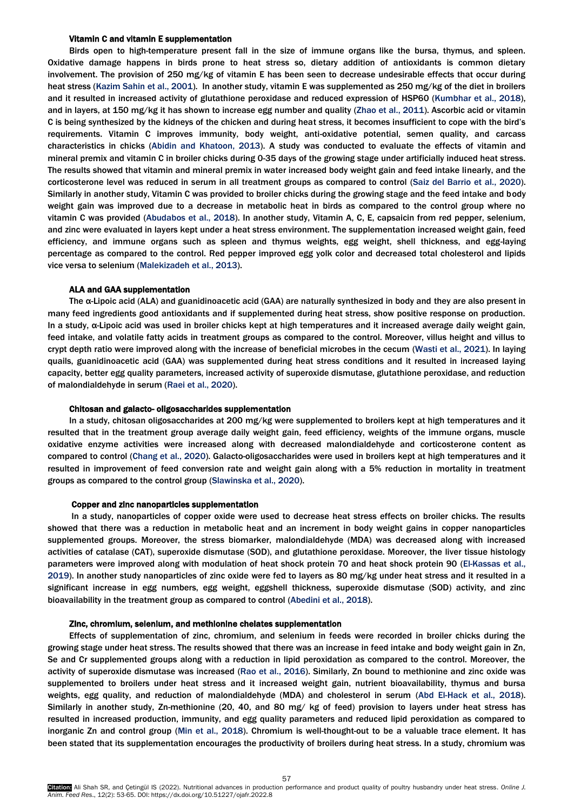## Vitamin C and vitamin E supplementation

Birds open to high-temperature present fall in the size of immune organs like the bursa, thymus, and spleen. Oxidative damage happens in birds prone to heat stress so, dietary addition of antioxidants is common dietary involvement. The provision of 250 mg/kg of vitamin E has been seen to decrease undesirable effects that occur during heat stress [\(Kazim Sahin et al., 2001\).](#page-9-0) In another study, vitamin E was supplemented as 250 mg/kg of the diet in broilers and it resulted in increased activity of glutathione peroxidase and reduced expression of HSP60 [\(Kumbhar et al., 2018\),](#page-9-0) and in layers, at 150 mg/kg it has shown to increase egg number and quality [\(Zhao et al., 2011\)](#page-9-0). Ascorbic acid or vitamin C is being synthesized by the kidneys of the chicken and during heat stress, it becomes insufficient to cope with the bird's requirements. Vitamin C improves immunity, body weight, anti-oxidative potential, semen quality, and carcass characteristics in chicks [\(Abidin and Khatoon, 2013\).](#page-9-0) A study was conducted to evaluate the effects of vitamin and mineral premix and vitamin C in broiler chicks during 0-35 days of the growing stage under artificially induced heat stress. The results showed that vitamin and mineral premix in water increased body weight gain and feed intake linearly, and the corticosterone level was reduced in serum in all treatment groups as compared to control [\(Saiz del Barrio et al., 2020\).](#page-9-0)  Similarly in another study, Vitamin C was provided to broiler chicks during the growing stage and the feed intake and body weight gain was improved due to a decrease in metabolic heat in birds as compared to the control group where no vitamin C was provided [\(Abudabos et al., 2018\).](#page-9-0) In another study, Vitamin A, C, E, capsaicin from red pepper, selenium, and zinc were evaluated in layers kept under a heat stress environment. The supplementation increased weight gain, feed efficiency, and immune organs such as spleen and thymus weights, egg weight, shell thickness, and egg-laying percentage as compared to the control. Red pepper improved egg yolk color and decreased total cholesterol and lipids vice versa to selenium [\(Malekizadeh et al., 2013\).](#page-9-0)

## ALA and GAA supplementation

The α-Lipoic acid (ALA) and guanidinoacetic acid (GAA) are naturally synthesized in body and they are also present in many feed ingredients good antioxidants and if supplemented during heat stress, show positive response on production. In a study, α-Lipoic acid was used in broiler chicks kept at high temperatures and it increased average daily weight gain, feed intake, and volatile fatty acids in treatment groups as compared to the control. Moreover, villus height and villus to crypt depth ratio were improved along with the increase of beneficial microbes in the cecum [\(Wasti et al., 2021\)](#page-9-0). In laying quails, guanidinoacetic acid (GAA) was supplemented during heat stress conditions and it resulted in increased laying capacity, better egg quality parameters, increased activity of superoxide dismutase, glutathione peroxidase, and reduction of malondialdehyde in serum [\(Raei et al., 2020\).](#page-9-0)

## Chitosan and galacto- oligosaccharides supplementation

In a study, chitosan oligosaccharides at 200 mg/kg were supplemented to broilers kept at high temperatures and it resulted that in the treatment group average daily weight gain, feed efficiency, weights of the immune organs, muscle oxidative enzyme activities were increased along with decreased malondialdehyde and corticosterone content as compared to control ([Chang et al., 2020\)](#page-9-0). Galacto-oligosaccharides were used in broilers kept at high temperatures and it resulted in improvement of feed conversion rate and weight gain along with a 5% reduction in mortality in treatment groups as compared to the control group [\(Slawinska et al., 20](#page-9-0)20).

#### Copper and zinc nanoparticles supplementation

In a study, nanoparticles of copper oxide were used to decrease heat stress effects on broiler chicks. The results showed that there was a reduction in metabolic heat and an increment in body weight gains in copper nanoparticles supplemented groups. Moreover, the stress biomarker, malondialdehyde (MDA) was decreased along with increased activities of catalase (CAT), superoxide dismutase (SOD), and glutathione peroxidase. Moreover, the liver tissue histology parameters were improved along with modulation of heat shock protein 70 and heat shock protein 90 [\(El-Kassas et al.,](#page-9-0)  2019). In another study nanoparticles of zinc oxide were fed to layers as 80 mg/kg under heat stress and it resulted in a significant increase in egg numbers, egg weight, eggshell thickness, superoxide dismutase (SOD) activity, and zinc bioavailability in the treatment group as compared to control (Abedini [et al., 201](#page-9-0)8).

#### Zinc, chromium, selenium, and methionine chelates supplementation

Effects of supplementation of zinc, chromium, and selenium in feeds were recorded in broiler chicks during the growing stage under heat stress. The results showed that there was an increase in feed intake and body weight gain in Zn, Se and Cr supplemented groups along with a reduction in lipid peroxidation as compared to the control. Moreover, the activity of superoxide dismutase was increased [\(Rao et al., 2016\).](#page-9-0) Similarly, Zn bound to methionine and zinc oxide was supplemented to broilers under heat stress and it increased weight gain, nutrient bioavailability, thymus and bursa weights, egg quality, and reduction of malondialdehyde (MDA) and cholesterol in serum [\(Abd El-Hack et al., 2018\).](#page-9-0) Similarly in another study, Zn-methionine (20, 40, and 80 mg/ kg of feed) provision to layers under heat stress has resulted in increased production, immunity, and egg quality parameters and reduced lipid peroxidation as compared to inorganic Zn and control group [\(Min et al., 2018\).](#page-9-0) Chromium is well-thought-out to be a valuable trace element. It has been stated that its supplementation encourages the productivity of broilers during heat stress. In a study, chromium was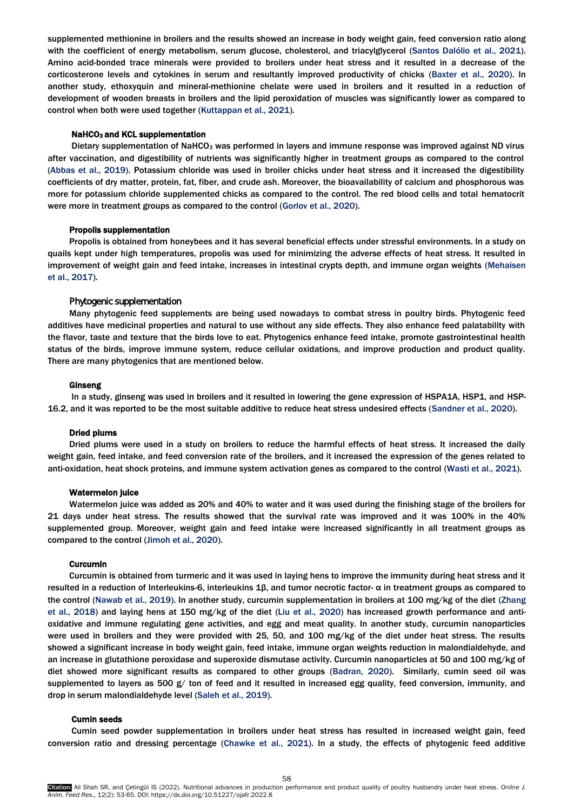supplemented methionine in broilers and the results showed an increase in body weight gain, feed conversion ratio along with the coefficient of energy metabolism, serum glucose, cholesterol, and triacylglycerol [\(Santos Dalólio et al., 2021\).](#page-9-0)  Amino acid-bonded trace minerals were provided to broilers under heat stress and it resulted in a decrease of the corticosterone levels and cytokines in serum and resultantly improved productivity of chicks ([Baxter et al., 2020\)](#page-9-0). In another study, ethoxyquin and mineral-methionine chelate were used in broilers and it resulted in a reduction of development of wooden breasts in broilers and the lipid peroxidation of muscles was significantly lower as compared to control when both were used together [\(Kuttappan et al., 2021\).](#page-9-0)

## NaHCO<sub>3</sub> and KCL supplementation

Dietary supplementation of NaHCO<sub>3</sub> was performed in layers and immune response was improved against ND virus after vaccination, and digestibility of nutrients was significantly higher in treatment groups as compared to the control [\(Abbas et al., 2019](#page-9-0)). Potassium chloride was used in broiler chicks under heat stress and it increased the digestibility coefficients of dry matter, protein, fat, fiber, and crude ash. Moreover, the bioavailability of calcium and phosphorous was more for potassium chloride supplemented chicks as compared to the control. The red blood cells and total hematocrit were more in treatment groups as compared to the control [\(Gorlov et al., 2020\)](#page-9-0).

## Propolis supplementation

Propolis is obtained from honeybees and it has several beneficial effects under stressful environments. In a study on quails kept under high temperatures, propolis was used for minimizing the adverse effects of heat stress. It resulted in improvement of weight gain and feed intake, increases in intestinal crypts depth, and immune organ weights [\(Mehaisen](#page-9-0)  [et al., 2017\).](#page-9-0)

## Phytogenic supplementation

additives have medicinal properties and natural to use without any side effects. They also enhance feed palatability with the flavor, taste and texture that the birds love to eat. Phytogenics enhance feed intake, promote gastrointestinal health status of the birds, improve immune system, reduce cellular oxidations, and improve production and product quality. There are many phytogenics that are mentioned below. Many phytogenic feed supplements are being used nowadays to combat stress in poultry birds. Phytogenic feed

#### Ginseng

In a study, ginseng was used in broilers and it resulted in lowering the gene expression of HSPA1A, HSP1, and HSP-16.2, and it was reported to be the most suitable additive to reduce heat stress undesired effects (Sandner [et al., 2020\).](#page-9-0) 

## Dried plums

Dried plums were used in a study on broilers to reduce the harmful effects of heat stress. It increased the daily weight gain, feed intake, and feed conversion rate of the broilers, and it increased the expression of the genes related to anti-oxidation, heat shock proteins, and immune system activation genes as compared to the control [\(Wasti et al., 2021\)](#page-9-0).

## Watermelon juice

Watermelon juice was added as 20% and 40% to water and it was used during the finishing stage of the broilers for 21 days under heat stress. The results showed that the survival rate was improved and it was 100% in the 40% supplemented group. Moreover, weight gain and feed intake were increased significantly in all treatment groups as compared to the control [\(Jimoh et al., 2020\)](#page-9-0).

#### Curcumin

Curcumin is obtained from turmeric and it was used in laying hens to improve the immunity during heat stress and it resulted in a reduction of Interleukins-6, interleukins 1β, and tumor necrotic factor- α in treatment groups as compared to the control ([Nawab et al., 2019](#page-9-0)). In another study, curcumin supplementation in broilers at 100 mg/kg of the diet (Zhang [et al., 2018\)](#page-9-0) and laying hens at 150 mg/kg of the die[t \(Liu et al., 2020\)](#page-9-0) has increased growth performance and antioxidative and immune regulating gene activities, and egg and meat quality. In another study, curcumin nanoparticles were used in broilers and they were provided with 25, 50, and 100 mg/kg of the diet under heat stress. The results showed a significant increase in body weight gain, feed intake, immune organ weights reduction in malondialdehyde, and an increase in glutathione peroxidase and superoxide dismutase activity. Curcumin nanoparticles at 50 and 100 mg/kg of diet showed more significant results as compared to other groups [\(Badran, 2020\).](#page-9-0) Similarly, cumin seed oil was supplemented to layers as 500 g/ ton of feed and it resulted in increased egg quality, feed conversion, immunity, and drop in serum malondialdehyde level [\(Saleh et al., 2019\)](#page-9-0).

## Cumin seeds

Cumin seed powder supplementation in broilers under heat stress has resulted in increased weight gain, feed conversion ratio and dressing percentage [\(Chawke et al., 2021\).](#page-9-0) In a study, the effects of phytogenic feed additive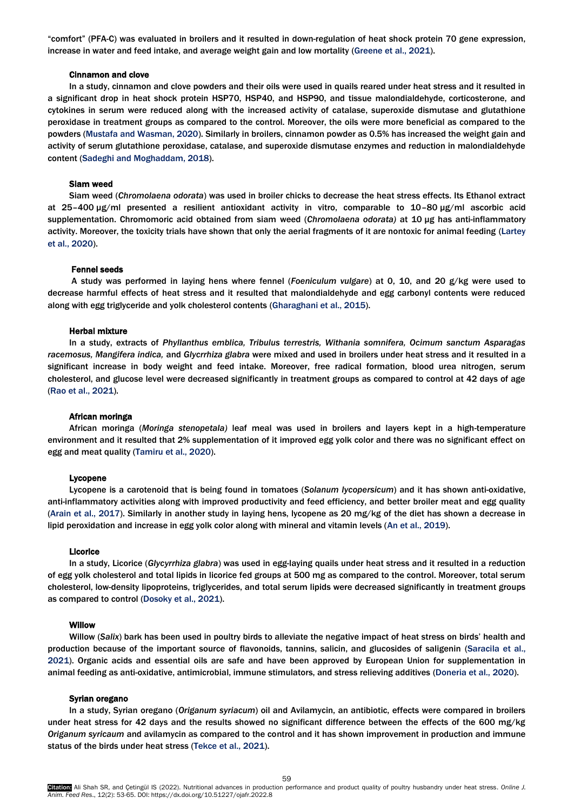"comfort" (PFA-C) was evaluated in broilers and it resulted in down-regulation of heat shock protein 70 gene expression, increase in water and feed intake, and average weight gain and low mortality ([Greene et al., 2021\)](#page-9-0).

### Cinnamon and clove

In a study, cinnamon and clove powders and their oils were used in quails reared under heat stress and it resulted in a significant drop in heat shock protein HSP70, HSP40, and HSP90, and tissue malondialdehyde, corticosterone, and cytokines in serum were reduced along with the increased activity of catalase, superoxide dismutase and glutathione peroxidase in treatment groups as compared to the control. Moreover, the oils were more beneficial as compared to the powders [\(Mustafa and Wasman, 2020\).](#page-9-0) Similarly in broilers, cinnamon powder as 0.5% has increased the weight gain and activity of serum glutathione peroxidase, catalase, and superoxide dismutase enzymes and reduction in malondialdehyde content [\(Sadeghi and Moghaddam, 2018\).](#page-9-0) 

## Siam weed

Siam weed (*Chromolaena odorata*) was used in broiler chicks to decrease the heat stress effects. Its Ethanol extract at 25–400 µg/ml presented a resilient antioxidant activity in vitro, comparable to 10–80 µg/ml ascorbic acid supplementation. Chromomoric acid obtained from siam weed (*Chromolaena odorata)* at 10 µg has anti-inflammatory activity. Moreover, the toxicity trials have shown that only the aerial fragments of it are nontoxic for animal feeding (Lartey [et al., 2020\).](#page-9-0)

## Fennel seeds

A study was performed in laying hens where fennel (*Foeniculum vulgare*) at 0, 10, and 20 g/kg were used to decrease harmful effects of heat stress and it resulted that malondialdehyde and egg carbonyl contents were reduced along with egg triglyceride and yolk cholesterol contents [\(Gharaghani et al., 2015\).](#page-9-0) 

## Herbal mixture

In a study, extracts of *Phyllanthus emblica, Tribulus terrestris, Withania somnifera, Ocimum sanctum Asparagas racemosus, Mangifera indica,* and *Glycrrhiza glabra* were mixed and used in broilers under heat stress and it resulted in a significant increase in body weight and feed intake. Moreover, free radical formation, blood urea nitrogen, serum cholesterol, and glucose level were decreased significantly in treatment groups as compared to control at 42 days of age [\(Rao et al., 2021\).](#page-9-0)

## African moringa

African moringa (*Moringa stenopetala)* leaf meal was used in broilers and layers kept in a high-temperature environment and it resulted that 2% supplementation of it improved egg yolk color and there was no significant effect on egg and meat quality ([Tamiru et al., 2020](#page-9-0)).

#### Lycopene

Lycopene is a carotenoid that is being found in tomatoes (*Solanum lycopersicum*) and it has shown anti-oxidative, anti-inflammatory activities along with improved productivity and feed efficiency, and better broiler meat and egg quality [\(Arain et al., 2017\)](#page-9-0). Similarly in another study in laying hens, lycopene as 20 mg/kg of the diet has shown a decrease in lipid peroxidation and increase in egg yolk color along with mineral and vitamin levels [\(An et al.,](#page-9-0) 2019).

## Licorice

In a study, Licorice (*Glycyrrhiza glabra*) was used in egg-laying quails under heat stress and it resulted in a reduction of egg yolk cholesterol and total lipids in licorice fed groups at 500 mg as compared to the control. Moreover, total serum cholesterol, low-density lipoproteins, triglycerides, and total serum lipids were decreased significantly in treatment groups as compared to control ([Dosoky et al., 2021](#page-9-0)).

#### **Willow**

Willow (*Salix*) bark has been used in poultry birds to alleviate the negative impact of heat stress on birds' health and production because of the important source of flavonoids, tannins, salicin, and glucosides of saligenin [\(Saracila et al.,](#page-9-0)  2021). Organic acids and essential oils are safe and have been approved by European Union for supplementation in animal feeding as anti-oxidative, antimicrobial, immune stimulators, and stress relieving additives ([Doneria et al., 2020\)](#page-9-0).

## Syrian oregano

In a study, Syrian oregano (*Origanum syriacum*) oil and Avilamycin, an antibiotic, effects were compared in broilers under heat stress for 42 days and the results showed no significant difference between the effects of the 600 mg/kg *Origanum syricaum* and avilamycin as compared to the control and it has shown improvement in production and immune status of the birds under heat stress [\(Tekce et al., 2021\)](#page-9-0).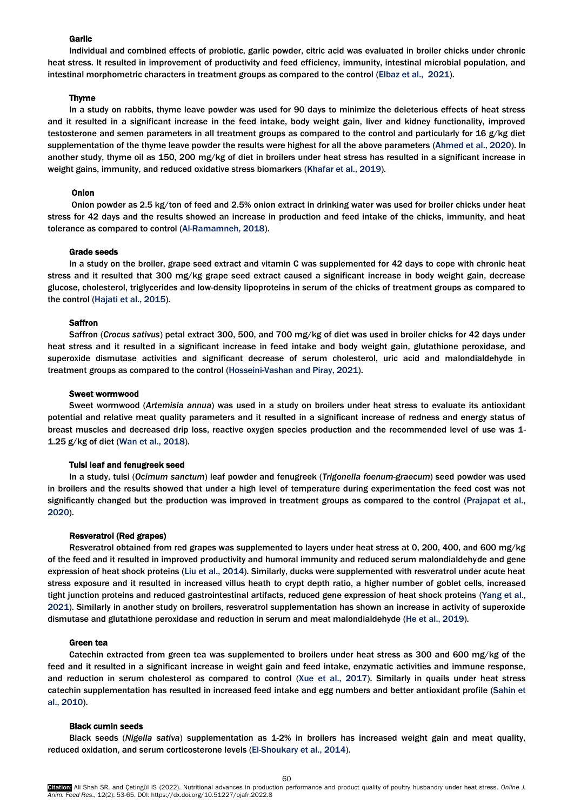# Garlic

Individual and combined effects of probiotic, garlic powder, citric acid was evaluated in broiler chicks under chronic heat stress. It resulted in improvement of productivity and feed efficiency, immunity, intestinal microbial population, and intestinal morphometric characters in treatment groups as compared to the control [\(Elbaz et al., 2021](#page-9-0)).

## Thyme

In a study on rabbits, thyme leave powder was used for 90 days to minimize the deleterious effects of heat stress and it resulted in a significant increase in the feed intake, body weight gain, liver and kidney functionality, improved testosterone and semen parameters in all treatment groups as compared to the control and particularly for 16 g/kg diet supplementation of the thyme leave powder the results were highest for all the above parameters [\(Ahmed et al., 2020](#page-9-0)). In another study, thyme oil as 150, 200 mg/kg of diet in broilers under heat stress has resulted in a significant increase in weight gains, immunity, and reduced oxidative stress biomarkers ([Khafar et al., 2019\)](#page-9-0).

#### Onion

Onion powder as 2.5 kg/ton of feed and 2.5% onion extract in drinking water was used for broiler chicks under heat stress for 42 days and the results showed an increase in production and feed intake of the chicks, immunity, and heat tolerance as compared to control ([Al-Ramamneh, 2018](#page-9-0)).

#### Grade seeds

In a study on the broiler, grape seed extract and vitamin C was supplemented for 42 days to cope with chronic heat stress and it resulted that 300 mg/kg grape seed extract caused a significant increase in body weight gain, decrease glucose, cholesterol, triglycerides and low-density lipoproteins in serum of the chicks of treatment groups as compared to the control [\(Hajati et al., 2015\).](#page-9-0)

#### **Saffron**

Saffron (*Crocus sativus*) petal extract 300, 500, and 700 mg/kg of diet was used in broiler chicks for 42 days under heat stress and it resulted in a significant increase in feed intake and body weight gain, glutathione peroxidase, and superoxide dismutase activities and significant decrease of serum cholesterol, uric acid and malondialdehyde in treatment groups as compared to the control [\(Hosseini-Vashan and Piray, 2021\).](#page-9-0) 

#### Sweet wormwood

Sweet wormwood (*Artemisia annua*) was used in a study on broilers under heat stress to evaluate its antioxidant potential and relative meat quality parameters and it resulted in a significant increase of redness and energy status of breast muscles and decreased drip loss, reactive oxygen species production and the recommended level of use was 1- 1.25 g/kg of die[t \(Wan et al., 2018\).](#page-9-0)

#### Tulsi leaf and fenugreek seed

In a study, tulsi (*Ocimum sanctum*) leaf powder and fenugreek (*Trigonella foenum-graecum*) seed powder was used in broilers and the results showed that under a high level of temperature during experimentation the feed cost was not significantly changed but the production was improved in treatment groups as compared to the control (Prajapat et al., 2020).

## Resveratrol (Red grapes)

Resveratrol obtained from red grapes was supplemented to layers under heat stress at 0, 200, 400, and 600 mg/kg of the feed and it resulted in improved productivity and humoral immunity and reduced serum malondialdehyde and gene expression of heat shock protein[s \(Liu et al., 2014\).](#page-9-0) Similarly, ducks were supplemented with resveratrol under acute heat stress exposure and it resulted in increased villus heath to crypt depth ratio, a higher number of goblet cells, increased tight junction proteins and reduced gastrointestinal artifacts, reduced gene expression of heat shock proteins [\(Yang et al.,](#page-9-0)  2021). Similarly in another study on broilers, resveratrol supplementation has shown an increase in activity of superoxide dismutase and glutathione peroxidase and reduction in serum and meat malondialdehyde [\(He et al., 2019\).](#page-9-0) 

#### Green tea

Catechin extracted from green tea was supplemented to broilers under heat stress as 300 and 600 mg/kg of the feed and it resulted in a significant increase in weight gain and feed intake, enzymatic activities and immune response, and reduction in serum cholesterol as compared to control [\(Xue et al., 2017\)](#page-9-0). Similarly in quails under heat stress catechin supplementation has resulted in increased feed intake and egg numbers and better antioxidant profile [\(Sahin et](#page-9-0)  [al., 2010\).](#page-9-0) 

#### Black cumin seeds

Black seeds (*Nigella sativa*) supplementation as 1-2% in broilers has increased weight gain and meat quality, reduced oxidation, and serum corticosterone levels [\(El-Shoukary et al., 2014\).](#page-9-0)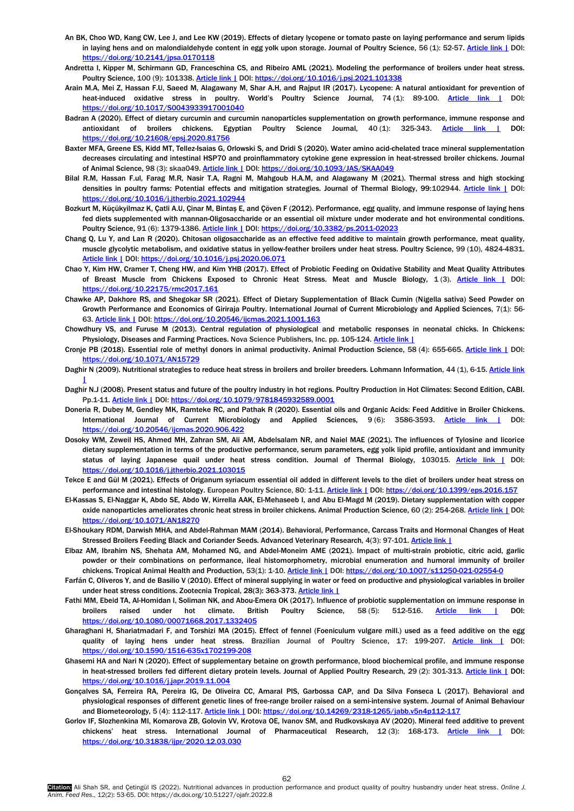- <span id="page-9-0"></span>An BK, Choo WD, Kang CW, Lee J, and Lee KW (2019). Effects of dietary lycopene or tomato paste on laying performance and serum lipids in laying hens and on malondialdehyde content in egg yolk upon storage. Journal of Poultry Science, 56 (1): 52-57. [Article link |](https://www.jstage.jst.go.jp/article/jpsa/56/1/56_0170118/_article/-char/ja/) DOI: <https://doi.org/10.2141/jpsa.0170118>
- Andretta I, Kipper M, Schirmann GD, Franceschina CS, and Ribeiro AML (2021). Modeling the performance of broilers under heat stress. Poultry Science, 100 (9): 101338[. Article link |](https://www.sciencedirect.com/science/article/pii/S0032579121003722) DOI: <https://doi.org/10.1016/j.psj.2021.101338>
- Arain M.A, Mei Z, Hassan F.U, Saeed M, Alagawany M, Shar A.H, and Rajput IR (2017). Lycopene: A natural antioxidant for prevention of heat-induced oxidative stress in poultry. World's Poultry Science Journal, 74 (1): 89-100. [Article link |](https://www.cambridge.org/core/journals/world-s-poultry-science-journal/article/abs/lycopene-a-natural-antioxidant-for-prevention-of-heatinduced-oxidative-stress-in-poultry/6B0B27C9CD18B1C15951F90B4236DEC1) DOI: <https://doi.org/10.1017/S0043933917001040>
- Badran A (2020). Effect of dietary curcumin and curcumin nanoparticles supplementation on growth performance, immune response and antioxidant of broilers chickens. Egyptian Poultry Science Journal, 40(1): 325-343. [Article link |](https://journals.ekb.eg/article_81756.html) DOI: <https://doi.org/10.21608/epsj.2020.81756>
- Baxter MFA, Greene ES, Kidd MT, Tellez-Isaias G, Orlowski S, and Dridi S (2020). Water amino acid-chelated trace mineral supplementation decreases circulating and intestinal HSP70 and proinflammatory cytokine gene expression in heat-stressed broiler chickens. Journal of Animal Science, 98 (3): skaa049[. Article link |](https://academic.oup.com/jas/article-abstract/98/3/skaa049/5734523) DOI[: https://doi.org/10.1093/JAS/SKAA049](https://doi.org/10.1093/JAS/SKAA049)
- Bilal R.M, Hassan F.ul, Farag M.R, Nasir T.A, Ragni M, Mahgoub H.A.M, and Alagawany M (2021). Thermal stress and high stocking densities in poultry farms: Potential effects and mitigation strategies. Journal of Thermal Biology, 99:102944. [Article link |](https://www.sciencedirect.com/science/article/pii/S030645652100111X) DOI: <https://doi.org/10.1016/j.jtherbio.2021.102944>
- Bozkurt M, Küçükyilmaz K, Çatli A.U, Çinar M, Bintaş E, and Çöven F (2012). Performance, egg quality, and immune response of laying hens fed diets supplemented with mannan-Oligosaccharide or an essential oil mixture under moderate and hot environmental conditions. Poultry Science, 91 (6): 1379-1386[. Article link |](https://www.sciencedirect.com/science/article/pii/S0032579119402575) DOI[: https://doi.org/10.3382/ps.2011-02023](https://doi.org/10.3382/ps.2011-02023)
- Chang Q, Lu Y, and Lan R (2020). Chitosan oligosaccharide as an effective feed additive to maintain growth performance, meat quality, muscle glycolytic metabolism, and oxidative status in yellow-feather broilers under heat stress. Poultry Science, 99 (10), 4824-4831. [Article link |](https://www.sciencedirect.com/science/article/pii/S0032579120304570) DOI[: https://doi.org/10.1016/j.psj.2020.06.071](https://doi.org/10.1016/j.psj.2020.06.071)
- Chao Y, Kim HW, Cramer T, Cheng HW, and Kim YHB (2017). Effect of Probiotic Feeding on Oxidative Stability and Meat Quality Attributes of Breast Muscle from Chickens Exposed to Chronic Heat Stress. Meat and Muscle Biology, 1(3). [Article link |](https://www.iastatedigitalpress.com/mmb/article/id/9344/) DOI: <https://doi.org/10.22175/rmc2017.161>
- Chawke AP, Dakhore RS, and Shegokar SR (2021). Effect of Dietary Supplementation of Black Cumin (Nigella sativa) Seed Powder on Growth Performance and Economics of Giriraja Poultry. International Journal of Current Microbiology and Applied Sciences, 7(1): 56- 63. [Article link |](https://dergipark.org.tr/en/pub/mejs/issue/63294/947054) DOI: <https://doi.org/10.20546/ijcmas.2021.1001.163>
- Chowdhury VS, and Furuse M (2013). Central regulation of physiological and metabolic responses in neonatal chicks. In Chickens: Physiology, Diseases and Farming Practices. Nova Science Publishers, Inc. pp. 105-124[. Article link |](https://kyushu-u.pure.elsevier.com/en/publications/central-regulation-of-physiological-and-metabolic-responses-in-ne)
- Cronje PB (2018). Essential role of methyl donors in animal productivity. Animal Production Science, 58 (4): 655-665. [Article link |](https://www.publish.csiro.au/an/an15729) DOI: <https://doi.org/10.1071/AN15729>
- Daghir N (2009). Nutritional strategies to reduce heat stress in broilers and broiler breeders. Lohmann Information, 44 (1), 6-15. Article link [|](https://www.researchgate.net/profile/Nuhad-Daghir/publication/228389282_Nutritional_strategies_to_reduce_heat_stress_in_broilers_and_broiler_breeders/links/0fcfd50cee9116469a000000/Nutritional-strategies-to-reduce-heat-stress-in-broilers-and-broiler-breeders.pdf)
- Daghir N.J (2008). Present status and future of the poultry industry in hot regions. Poultry Production in Hot Climates: Second Edition, CABI. Pp.1-11. [Article link |](https://www.researchgate.net/publication/288786331_Present_status_and_future_of_the_poultry_industry_in_hot_regions) DOI: <https://doi.org/10.1079/9781845932589.0001>
- Doneria R, Dubey M, Gendley MK, Ramteke RC, and Pathak R (2020). Essential oils and Organic Acids: Feed Additive in Broiler Chickens. International Journal of Current Microbiology and Applied Sciences, 9 (6): 3586-3593. [Article link |](https://www.ijcmas.com/9-6-2020/Raina%20Doneria,%20et%20al.pdf) DOI: <https://doi.org/10.20546/ijcmas.2020.906.422>
- Dosoky WM, Zeweil HS, Ahmed MH, Zahran SM, Ali AM, Abdelsalam NR, and Naiel MAE (2021). The influences of Tylosine and licorice dietary supplementation in terms of the productive performance, serum parameters, egg yolk lipid profile, antioxidant and immunity status of laying Japanese quail under heat stress condition. Journal of Thermal Biology, 103015. [Article link |](https://www.sciencedirect.com/science/article/pii/S0306456521001832) DOI: <https://doi.org/10.1016/j.jtherbio.2021.103015>
- Tekce E and Gül M (2021). Effects of Origanum syriacum essential oil added in different levels to the diet of broilers under heat stress on performance and intestinal histology. European Poultry Science, 80: 1-11[. Article link |](https://www.researchgate.net/profile/Mehmet-Gul-5/publication/316958280_Effects_of_Origanum_syriacum_essential_oil_added_in_different_levels_to_the_diet_of_broilers_under_heat_stress_on_performance_and_intestinal_histology/links/5a4b6717aca272d294652565/Effects-of-Origanum-syriacum-essential-oil-added-in-different-levels-to-the-diet-of-broilers-under-heat-stress-on-performance-and-intestinal-histology.pdf) DOI: <https://doi.org/10.1399/eps.2016.157>
- El-Kassas S, El-Naggar K, Abdo SE, Abdo W, Kirrella AAK, El-Mehaseeb I, and Abu El-Magd M (2019). Dietary supplementation with copper oxide nanoparticles ameliorates chronic heat stress in broiler chickens. Animal Production Science, 60 (2): 254-268[. Article link |](https://www.publish.csiro.au/AN/AN18270) DOI: <https://doi.org/10.1071/AN18270>
- El-Shoukary RDM, Darwish MHA, and Abdel-Rahman MAM (2014). Behavioral, Performance, Carcass Traits and Hormonal Changes of Heat Stressed Broilers Feeding Black and Coriander Seeds. Advanced Veterinary Research, 4(3): 97-101[. Article link |](https://advetresearch.com/index.php/avr/article/view/79)
- Elbaz AM, Ibrahim NS, Shehata AM, Mohamed NG, and Abdel-Moneim AME (2021). Impact of multi-strain probiotic, citric acid, garlic powder or their combinations on performance, ileal histomorphometry, microbial enumeration and humoral immunity of broiler chickens. Tropical Animal Health and Production, 53(1): 1-10[. Article link |](https://link.springer.com/article/10.1007/s11250-021-02554-0) DOI[: https://doi.org/10.1007/s11250-021-02554-0](https://doi.org/10.1007/s11250-021-02554-0)
- Farfán C, Oliveros Y, and de Basilio V (2010). Effect of mineral supplying in water or feed on productive and physiological variables in broiler under heat stress conditions. Zootecnia Tropical, 28(3): 363-373. [Article link |](http://ve.scielo.org/scielo.php?script=sci_abstract&pid=S0798-72692010000300007&lng=pt&nrm=iso&tlng=en)
- Fathi MM, Ebeid TA, Al-Homidan I, Soliman NK, and Abou-Emera OK (2017). Influence of probiotic supplementation on immune response in broilers raised under hot climate. British Poultry Science, 58 (5): 512-516. [Article link |](https://www.tandfonline.com/doi/full/10.1080/00071668.2017.1332405) DOI: <https://doi.org/10.1080/00071668.2017.1332405>
- Gharaghani H, Shariatmadari F, and Torshizi MA (2015). Effect of fennel (Foeniculum vulgare mill.) used as a feed additive on the egg quality of laying hens under heat stress. Brazilian Journal of Poultry Science, 17: 199-207. [Article link |](https://www.scielo.br/j/rbca/a/8pBT9XQCxHM5Gh7nGNYn9Cn/?lang=en) DOI: <https://doi.org/10.1590/1516-635x1702199-208>
- Ghasemi HA and Nari N (2020). Effect of supplementary betaine on growth performance, blood biochemical profile, and immune response in heat-stressed broilers fed different dietary protein levels. Journal of Applied Poultry Research, 29 (2): 301-313. [Article link |](https://www.sciencedirect.com/science/article/pii/S1056617119322408) DOI: <https://doi.org/10.1016/j.japr.2019.11.004>
- Gonçalves SA, Ferreira RA, Pereira IG, De Oliveira CC, Amaral PIS, Garbossa CAP, and Da Silva Fonseca L (2017). Behavioral and physiological responses of different genetic lines of free-range broiler raised on a semi-intensive system. Journal of Animal Behaviour and Biometeorology, 5 (4): 112-117[. Article link |](https://www.jabbnet.com/article/doi/10.31893/2318-1265jabb.v5n4p112-117) DOI: <https://doi.org/10.14269/2318-1265/jabb.v5n4p112-117>
- Gorlov IF, Slozhenkina MI, Komarova ZB, Golovin VV, Krotova OE, Ivanov SM, and Rudkovskaya AV (2020). Mineral feed additive to prevent chickens' heat stress. International Journal of Pharmaceutical Research, 12 (3): 168-173. [Article link |](https://elibrary.ru/item.asp?id=43271770) DOI: <https://doi.org/10.31838/ijpr/2020.12.03.030>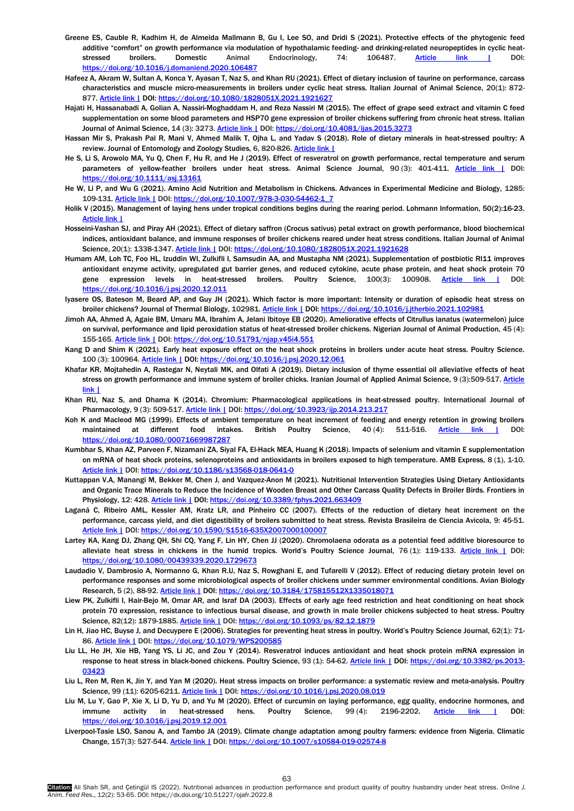- Greene ES, Cauble R, Kadhim H, de Almeida Mallmann B, Gu I, Lee SO, and Dridi S (2021). Protective effects of the phytogenic feed additive "comfort" on growth performance via modulation of hypothalamic feeding- and drinking-related neuropeptides in cyclic heat-stressed broilers. Domestic Animal Endocrinology, 74: 106487. [Article link |](https://www.sciencedirect.com/science/article/pii/S0739724020300540) DOI: <https://doi.org/10.1016/j.domaniend.2020.106487>
- Hafeez A, Akram W, Sultan A, Konca Y, Ayasan T, Naz S, and Khan RU (2021). Effect of dietary inclusion of taurine on performance, carcass characteristics and muscle micro-measurements in broilers under cyclic heat stress. Italian Journal of Animal Science, 20(1): 872- 877. [Article link |](https://www.tandfonline.com/doi/full/10.1080/1828051X.2021.1921627) DOI[: https://doi.org/10.1080/1828051X.2021.1921627](https://doi.org/10.1080/1828051X.2021.1921627)
- Hajati H, Hassanabadi A, Golian A, Nassiri-Moghaddam H, and Reza Nassiri M (2015). The effect of grape seed extract and vitamin C feed supplementation on some blood parameters and HSP70 gene expression of broiler chickens suffering from chronic heat stress. Italian Journal of Animal Science, 14 (3): 3273[. Article link |](https://www.tandfonline.com/doi/full/10.4081/ijas.2014.3273) DOI: <https://doi.org/10.4081/ijas.2015.3273>
- Hassan Mir S, Prakash Pal R, Mani V, Ahmed Malik T, Ojha L, and Yadav S (2018). Role of dietary minerals in heat-stressed poultry: A review. Journal of Entomology and Zoology Studies, 6, 820-826[. Article link |](https://www.entomoljournal.com/archives/2018/vol6issue5/PartM/6-5-56-496.pdf)
- He S, Li S, Arowolo MA, Yu Q, Chen F, Hu R, and He J (2019). Effect of resveratrol on growth performance, rectal temperature and serum parameters of yellow-feather broilers under heat stress. Animal Science Journal, 90 (3): 401-411. [Article link |](https://onlinelibrary.wiley.com/doi/full/10.1111/asj.13161) DOI: <https://doi.org/10.1111/asj.13161>
- He W, Li P, and Wu G (2021). Amino Acid Nutrition and Metabolism in Chickens. Advances in Experimental Medicine and Biology, 1285: 109-131[. Article link |](https://link.springer.com/chapter/10.1007/978-3-030-54462-1_7) DOI[: https://doi.org/10.1007/978-3-030-54462-1\\_7](https://doi.org/10.1007/978-3-030-54462-1_7)
- Holik V (2015). Management of laying hens under tropical conditions begins during the rearing period. Lohmann Information, 50(2):16-23. [Article link |](https://www.cabdirect.org/cabdirect/abstract/20153359656)
- Hosseini-Vashan SJ, and Piray AH (2021). Effect of dietary saffron (Crocus sativus) petal extract on growth performance, blood biochemical indices, antioxidant balance, and immune responses of broiler chickens reared under heat stress conditions. Italian Journal of Animal Science, 20(1): 1338-1347[. Article link |](https://www.tandfonline.com/doi/full/10.1080/1828051X.2021.1921628) DOI: <https://doi.org/10.1080/1828051X.2021.1921628>
- Humam AM, Loh TC, Foo HL, Izuddin WI, Zulkifli I, Samsudin AA, and Mustapha NM (2021). Supplementation of postbiotic RI11 improves antioxidant enzyme activity, upregulated gut barrier genes, and reduced cytokine, acute phase protein, and heat shock protein 70 gene expression levels in heat-stressed broilers. Poultry Science, 100(3): 100908. [Article link |](https://www.sciencedirect.com/science/article/pii/S0032579120309597) DOI: <https://doi.org/10.1016/j.psj.2020.12.011>
- Iyasere OS, Bateson M, Beard AP, and Guy JH (2021). Which factor is more important: Intensity or duration of episodic heat stress on broiler chickens? Journal of Thermal Biology, 102981[. Article link |](https://www.sciencedirect.com/science/article/pii/S0306456521001492) DOI[: https://doi.org/10.1016/j.jtherbio.2021.102981](https://doi.org/10.1016/j.jtherbio.2021.102981)
- Jimoh AA, Ahmed A, Agaie BM, Umaru MA, Ibrahim A, Jelani Ibitoye EB (2020). Ameliorative effects of Citrullus lanatus (watermelon) juice on survival, performance and lipid peroxidation status of heat-stressed broiler chickens. Nigerian Journal of Animal Production, 45 (4): 155-165[. Article link |](https://njap.org.ng/index.php/njap/article/view/551) DOI: <https://doi.org/10.51791/njap.v45i4.551>
- Kang D and Shim K (2021). Early heat exposure effect on the heat shock proteins in broilers under acute heat stress. Poultry Science. 100 (3): 100964. [Article link |](https://www.sciencedirect.com/science/article/pii/S0032579120310154) DOI[: https://doi.org/10.1016/j.psj.2020.12.061](https://doi.org/10.1016/j.psj.2020.12.061)
- Khafar KR, Mojtahedin A, Rastegar N, Neytali MK, and Olfati A (2019). Dietary inclusion of thyme essential oil alleviative effects of heat stress on growth performance and immune system of broiler chicks. Iranian Journal of Applied Animal Science, 9 (3):509-517. Article [link |](http://ijas.iaurasht.ac.ir/article_667611.html)
- Khan RU, Naz S, and Dhama K (2014). Chromium: Pharmacological applications in heat-stressed poultry. International Journal of Pharmacology, 9 (3): 509-517[. Article link |](https://www.cabdirect.org/cabdirect/abstract/20143337435) DOI[: https://doi.org/10.3923/ijp.2014.213.217](https://doi.org/10.3923/ijp.2014.213.217)
- Koh K and Macleod MG (1999). Effects of ambient temperature on heat increment of feeding and energy retention in growing broilers maintained at different food intakes. British Poultry Science, 40 (4): 511-516. [Article link |](https://www.tandfonline.com/doi/abs/10.1080/00071669987287) DOI: <https://doi.org/10.1080/00071669987287>
- Kumbhar S, Khan AZ, Parveen F, Nizamani ZA, Siyal FA, El-Hack MEA, Huang K (2018). Impacts of selenium and vitamin E supplementation on mRNA of heat shock proteins, selenoproteins and antioxidants in broilers exposed to high temperature. AMB Express, 8 (1), 1-10. [Article link |](https://amb-express.springeropen.com/articles/10.1186/s13568-018-0641-0) DOI: <https://doi.org/10.1186/s13568-018-0641-0>
- Kuttappan V.A, Manangi M, Bekker M, Chen J, and Vazquez-Anon M (2021). Nutritional Intervention Strategies Using Dietary Antioxidants and Organic Trace Minerals to Reduce the Incidence of Wooden Breast and Other Carcass Quality Defects in Broiler Birds. Frontiers in Physiology, 12: 428. [Article link |](https://www.frontiersin.org/articles/10.3389/fphys.2021.663409/full) DOI[: https://doi.org/10.3389/fphys.2021.663409](https://doi.org/10.3389/fphys.2021.663409)
- Laganá C, Ribeiro AML, Kessler AM, Kratz LR, and Pinheiro CC (2007). Effects of the reduction of dietary heat increment on the performance, carcass yield, and diet digestibility of broilers submitted to heat stress. Revista Brasileira de Ciencia Avicola, 9: 45-51. [Article link |](https://www.scielo.br/j/rbca/a/KkvLhSf8vxg8vQWfs3rSs7m/?format=pdf&lang=en) DOI[: https://doi.org/10.1590/S1516-635X2007000100007](https://doi.org/10.1590/S1516-635X2007000100007)
- Lartey KA, Kang DJ, Zhang QH, Shi CQ, Yang F, Lin HY, Chen JJ (2020). Chromolaena odorata as a potential feed additive bioresource to alleviate heat stress in chickens in the humid tropics. World's Poultry Science Journal, 76 (1): 119-133. [Article link |](https://www.tandfonline.com/doi/full/10.1080/00439339.2020.1729673) DOI: <https://doi.org/10.1080/00439339.2020.1729673>
- Laudadio V, Dambrosio A, Normanno G, Khan R.U, Naz S, Rowghani E, and Tufarelli V (2012). Effect of reducing dietary protein level on performance responses and some microbiological aspects of broiler chickens under summer environmental conditions. Avian Biology Research, 5 (2), 88-92. [Article link |](https://journals.sagepub.com/doi/abs/10.3184/175815512X13350180713553) DOI[: https://doi.org/10.3184/175815512X1335018071](https://doi.org/10.3184/175815512X1335018071)
- Liew PK, Zulkifli I, Hair-Bejo M, Omar AR, and Israf DA (2003). Effects of early age feed restriction and heat conditioning on heat shock protein 70 expression, resistance to infectious bursal disease, and growth in male broiler chickens subjected to heat stress. Poultry Science, 82(12): 1879-1885. [Article link |](https://www.sciencedirect.com/science/article/pii/S0032579119439795) DOI[: https://doi.org/10.1093/ps/82.12.1879](https://doi.org/10.1093/ps/82.12.1879)
- Lin H, Jiao HC, Buyse J, and Decuypere E (2006). Strategies for preventing heat stress in poultry. World's Poultry Science Journal, 62(1): 71- 86. [Article link |](https://www.cambridge.org/core/journals/world-s-poultry-science-journal/article/abs/strategies-for-preventing-heat-stress-in-poultry/114CAADF22599E20B2E1192AEE49FE69) DOI: <https://doi.org/10.1079/WPS200585>
- Liu LL, He JH, Xie HB, Yang YS, Li JC, and Zou Y (2014). Resveratrol induces antioxidant and heat shock protein mRNA expression in response to heat stress in black-boned chickens. Poultry Science, 93 (1): 54-62. [Article link |](https://www.sciencedirect.com/science/article/pii/S0032579119359826) DOI[: https://doi.org/10.3382/ps.2013-](https://doi.org/10.3382/ps.2013-03423) [03423](https://doi.org/10.3382/ps.2013-03423)
- Liu L, Ren M, Ren K, Jin Y, and Yan M (2020). Heat stress impacts on broiler performance: a systematic review and meta-analysis. Poultry Science, 99 (11): 6205-6211[. Article link |](https://www.sciencedirect.com/science/article/pii/S0032579120305575) DOI[: https://doi.org/10.1016/j.psj.2020.08.019](https://doi.org/10.1016/j.psj.2020.08.019)
- Liu M, Lu Y, Gao P, Xie X, Li D, Yu D, and Yu M (2020). Effect of curcumin on laying performance, egg quality, endocrine hormones, and immune activity in heat-stressed hens. Poultry Science, 99 (4): 2196-2202. [Article link |](https://www.sciencedirect.com/science/article/pii/S0032579119579111) DOI: <https://doi.org/10.1016/j.psj.2019.12.001>
- Liverpool-Tasie LSO, Sanou A, and Tambo JA (2019). Climate change adaptation among poultry farmers: evidence from Nigeria. Climatic Change, 157(3): 527-544. [Article link |](https://link.springer.com/article/10.1007/s10584-019-02574-8) DOI: <https://doi.org/10.1007/s10584-019-02574-8>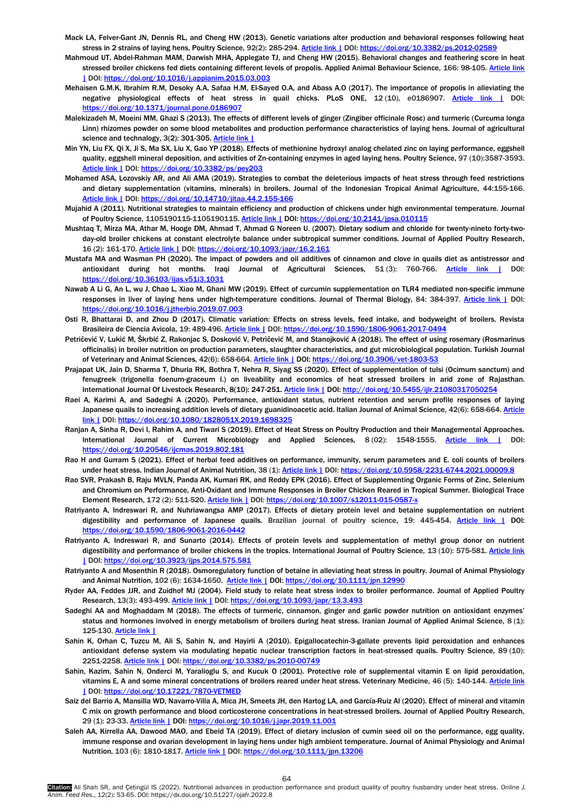- Mack LA, Felver-Gant JN, Dennis RL, and Cheng HW (2013). Genetic variations alter production and behavioral responses following heat stress in 2 strains of laying hens, Poultry Science, 92(2): 285-294[. Article link |](https://www.sciencedirect.com/science/article/pii/S0032579119395215) DOI[: https://doi.org/10.3382/ps.2012-02589](https://doi.org/10.3382/ps.2012-02589)
- Mahmoud UT, Abdel-Rahman MAM, Darwish MHA, Applegate TJ, and Cheng HW (2015). Behavioral changes and feathering score in heat stressed broiler chickens fed diets containing different levels of propolis. Applied Animal Behaviour Science, 166: 98-105. Article link [|](https://www.sciencedirect.com/science/article/pii/S0168159115000891) DOI: <https://doi.org/10.1016/j.applanim.2015.03.003>
- Mehaisen G.M.K, Ibrahim R.M, Desoky A.A, Safaa H.M, El-Sayed O.A, and Abass A.O (2017). The importance of propolis in alleviating the negative physiological effects of heat stress in quail chicks. PLoS ONE, 12 (10), e0186907. [Article link |](https://journals.plos.org/plosone/article?id=10.1371/journal.pone.0186907) DOI: <https://doi.org/10.1371/journal.pone.0186907>
- Malekizadeh M, Moeini MM, Ghazi S (2013). The effects of different levels of ginger (Zingiber officinale Rosc) and turmeric (Curcuma longa Linn) rhizomes powder on some blood metabolites and production performance characteristics of laying hens. Journal of agricultural science and technalogy, 3(2): 301-305. [Article link |](https://www.sid.ir/en/Journal/ViewPaper.aspx?ID=283764)
- Min YN, Liu FX, Qi X, Ji S, Ma SX, Liu X, Gao YP (2018). Effects of methionine hydroxyl analog chelated zinc on laying performance, eggshell quality, eggshell mineral deposition, and activities of Zn-containing enzymes in aged laying hens. Poultry Science, 97 (10):3587-3593. [Article link |](https://www.sciencedirect.com/science/article/pii/S0032579119304572) DOI: <https://doi.org/10.3382/ps/pey203>
- Mohamed ASA, Lozovskiy AR, and Ali AMA (2019). Strategies to combat the deleterious impacts of heat stress through feed restrictions and dietary supplementation (vitamins, minerals) in broilers. Journal of the Indonesian Tropical Animal Agriculture, 44:155-166. [Article link |](https://pdfs.semanticscholar.org/cd31/6773edc3dae1dbf53fb030598999a8afca09.pdf) DOI: <https://doi.org/10.14710/jitaa.44.2.155-166>
- Mujahid A (2011). Nutritional strategies to maintain efficiency and production of chickens under high environmental temperature. Journal of Poultry Science, 1105190115-1105190115. [Article link |](https://www.jstage.jst.go.jp/article/jpsa/advpub/0/advpub_010115/_article/-char/ja/) DOI[: https://doi.org/10.2141/jpsa.010115](https://doi.org/10.2141/jpsa.010115)
- Mushtaq T, Mirza MA, Athar M, Hooge DM, Ahmad T, Ahmad G Noreen U. (2007). Dietary sodium and chloride for twenty-nineto forty-twoday-old broiler chickens at constant electrolyte balance under subtropical summer conditions. Journal of Applied Poultry Research, 16 (2): 161-170[. Article link |](https://www.sciencedirect.com/science/article/pii/S1056617119316071) DOI[: https://doi.org/10.1093/japr/16.2.161](https://doi.org/10.1093/japr/16.2.161)
- Mustafa MA and Wasman PH (2020). The impact of powders and oil additives of cinnamon and clove in quails diet as antistressor and antioxidant during hot months. Iraqi Journal of Agricultural Sciences, 51(3): 760-766. Article link | DOI: <https://doi.org/10.36103/ijas.v51i3.1031>
- Nawab A Li G, An L, wu J, Chao L, Xiao M, Ghani MW (2019). Effect of curcumin supplementation on TLR4 mediated non-specific immune responses in liver of laying hens under high-temperature conditions. Journal of Thermal Biology, 84: 384-397. [Article link |](https://www.sciencedirect.com/science/article/pii/S0306456519301998) DOI: <https://doi.org/10.1016/j.jtherbio.2019.07.003>
- Osti R, Bhattarai D, and Zhou D (2017). Climatic variation: Effects on stress levels, feed intake, and bodyweight of broilers. Revista Brasileira de Ciencia Avicola, 19: 489-496[. Article link |](https://www.scielo.br/j/rbca/a/wqT7R57vSwRyHvpmmkBs4tK/?format=html&lang=en) DOI: <https://doi.org/10.1590/1806-9061-2017-0494>
- Petričević V, Lukić M, Škrbić Z, Rakonjac S, Dosković V, Petričević M, and Stanojković A (2018). The effect of using rosemary (Rosmarinus officinalis) in broiler nutrition on production parameters, slaughter characteristics, and gut microbiological population. Turkish Journal of Veterinary and Animal Sciences, 42(6): 658-664. [Article link |](https://journals.tubitak.gov.tr/veterinary/abstract.htm?id=23767) DOI[: https://doi.org/10.3906/vet-1803-53](https://doi.org/10.3906/vet-1803-53)
- Prajapat UK, Jain D, Sharma T, Dhuria RK, Bothra T, Nehra R, Siyag SS (2020). Effect of supplementation of tulsi (Ocimum sanctum) and fenugreek (trigonella foenum-graceum l.) on liveability and economics of heat stressed broilers in arid zone of Rajasthan. International Journal Of Livestock Research, 8(10): 247-251[. Article link |](http://ijlr.org/issue/effect-of-dietary-supplementation-of-tulsi-ocimum-sanctum-and-fenugreek-trigonella-foenum-graceum-l-on-carcass-characteristics-of-heat-stressed-broilers-in-arid-zone/) DOI[: http://doi.org/10.5455/ijlr.21080317050254](http://doi.org/10.5455/ijlr.21080317050254)
- Raei A, Karimi A, and Sadeghi A (2020). Performance, antioxidant status, nutrient retention and serum profile responses of laying Japanese quails to increasing addition levels of dietary guanidinoacetic acid. Italian Journal of Animal Science, 42(6): 658-664. Article [link |](https://www.tandfonline.com/doi/full/10.1080/1828051X.2019.1698325) DOI[: https://doi.org/10.1080/1828051X.2019.1698325](https://doi.org/10.1080/1828051X.2019.1698325)
- Ranjan A, Sinha R, Devi I, Rahim A, and Tiwari S (2019). Effect of Heat Stress on Poultry Production and their Managemental Approaches. International Journal of Current Microbiology and Applied Sciences, 8 (02): 1548-1555. [Article link |](https://www.researchgate.net/profile/Ranjana-Sinha-2/publication/331401318_Effect_of_Heat_Stress_on_Poultry_Production_and_their_Managemental_Approaches/links/5c7987aa92851c69504c1c54/Effect-of-Heat-Stress-on-Poultry-Production-and-their-Managemental-Approaches.pdf) DOI: <https://doi.org/10.20546/ijcmas.2019.802.181>
- Rao H and Gurram S (2021). Effect of herbal feed additives on performance, immunity, serum parameters and E. coli counts of broilers under heat stress. Indian Journal of Animal Nutrition, 38 (1)[: Article link |](https://www.researchgate.net/profile/Srinivas-Gurram/publication/354047777_Effect_of_Herbal_Feed_Additives_on_Performance_Immunity_Serum_Parameters_and_E_coli_Counts_of_Broilers_under_Heat_Stress/links/6120c55d169a1a0103171226/Effect-of-Herbal-Feed-Additives-on-Performance-Immunity-Serum-Parameters-and-E-coli-Counts-of-Broilers-under-Heat-Stress.pdf) DOI: <https://doi.org/10.5958/2231-6744.2021.00009.8>
- Rao SVR, Prakash B, Raju MVLN, Panda AK, Kumari RK, and Reddy EPK (2016). Effect of Supplementing Organic Forms of Zinc, Selenium and Chromium on Performance, Anti-Oxidant and Immune Responses in Broiler Chicken Reared in Tropical Summer. Biological Trace Element Research, 172 (2): 511-520. [Article link |](https://link.springer.com/article/10.1007/s12011-015-0587-x) DOI[: https://doi.org/10.1007/s12011-015-0587-x](https://doi.org/10.1007/s12011-015-0587-x)
- Ratriyanto A, Indreswari R, and Nuhriawangsa AMP (2017). Effects of dietary protein level and betaine supplementation on nutrient digestibility and performance of Japanese quails. Brazilian journal of poultry science, 19: 445-454. [Article link |](https://www.scielo.br/j/rbca/a/4kH6dh5cz6CwXTKqHDRZqfk/abstract/?lang=en) DOI: <https://doi.org/10.1590/1806-9061-2016-0442>
- Ratriyanto A, Indreswari R, and Sunarto (2014). Effects of protein levels and supplementation of methyl group donor on nutrient digestibility and performance of broiler chickens in the tropics. International Journal of Poultry Science, 13 (10): 575-581. Article link [|](https://www.cabdirect.org/cabdirect/abstract/20153039798) DOI: <https://doi.org/10.3923/ijps.2014.575.581>
- Ratriyanto A and Mosenthin R (2018). Osmoregulatory function of betaine in alleviating heat stress in poultry. Journal of Animal Physiology and Animal Nutrition, 102 (6): 1634-1650. [Article link |](https://onlinelibrary.wiley.com/doi/full/10.1111/jpn.12990) DOI[: https://doi.org/10.1111/jpn.12990](https://doi.org/10.1111/jpn.12990)
- Ryder AA, Feddes JJR, and Zuidhof MJ (2004). Field study to relate heat stress index to broiler performance. Journal of Applied Poultry Research, 13(3): 493-499. [Article link |](https://www.sciencedirect.com/science/article/pii/S1056617119317404) DOI: <https://doi.org/10.1093/japr/13.3.493>
- Sadeghi AA and Moghaddam M (2018). The effects of turmeric, cinnamon, ginger and garlic powder nutrition on antioxidant enzymes' status and hormones involved in energy metabolism of broilers during heat stress. Iranian Journal of Applied Animal Science, 8 (1): 125-130[. Article link |](http://ijas.iaurasht.ac.ir/article_538885.html)
- Sahin K, Orhan C, Tuzcu M, Ali S, Sahin N, and Hayirli A (2010). Epigallocatechin-3-gallate prevents lipid peroxidation and enhances antioxidant defense system via modulating hepatic nuclear transcription factors in heat-stressed quails. Poultry Science, 89 (10): 2251-2258. [Article link |](https://www.sciencedirect.com/science/article/pii/S003257911939039X) DOI: <https://doi.org/10.3382/ps.2010-00749>
- Sahin, Kazim, Sahin N, Onderci M, Yaralioglu S, and Kucuk O (2001). Protective role of supplemental vitamin E on lipid peroxidation, vitamins E, A and some mineral concentrations of broilers reared under heat stress. Veterinary Medicine, 46 (5): 140-144. Article link [|](https://www.agriculturejournals.cz/publicFiles/141417.pdf) DOI: <https://doi.org/10.17221/7870-VETMED>
- Saiz del Barrio A, Mansilla WD, Navarro-Villa A, Mica JH, Smeets JH, den Hartog LA, and García-Ruiz AI (2020). Effect of mineral and vitamin C mix on growth performance and blood corticosterone concentrations in heat-stressed broilers. Journal of Applied Poultry Research, 29 (1): 23-33. [Article link |](https://www.sciencedirect.com/science/article/pii/S1056617119322330) DOI[: https://doi.org/10.1016/j.japr.2019.11.001](https://doi.org/10.1016/j.japr.2019.11.001)
- Saleh AA, Kirrella AA, Dawood MAO, and Ebeid TA (2019). Effect of dietary inclusion of cumin seed oil on the performance, egg quality, immune response and ovarian development in laying hens under high ambient temperature. Journal of Animal Physiology and Animal Nutrition, 103 (6): 1810-1817. [Article link |](https://onlinelibrary.wiley.com/doi/full/10.1111/jpn.13206) DOI[: https://doi.org/10.1111/jpn.13206](https://doi.org/10.1111/jpn.13206)